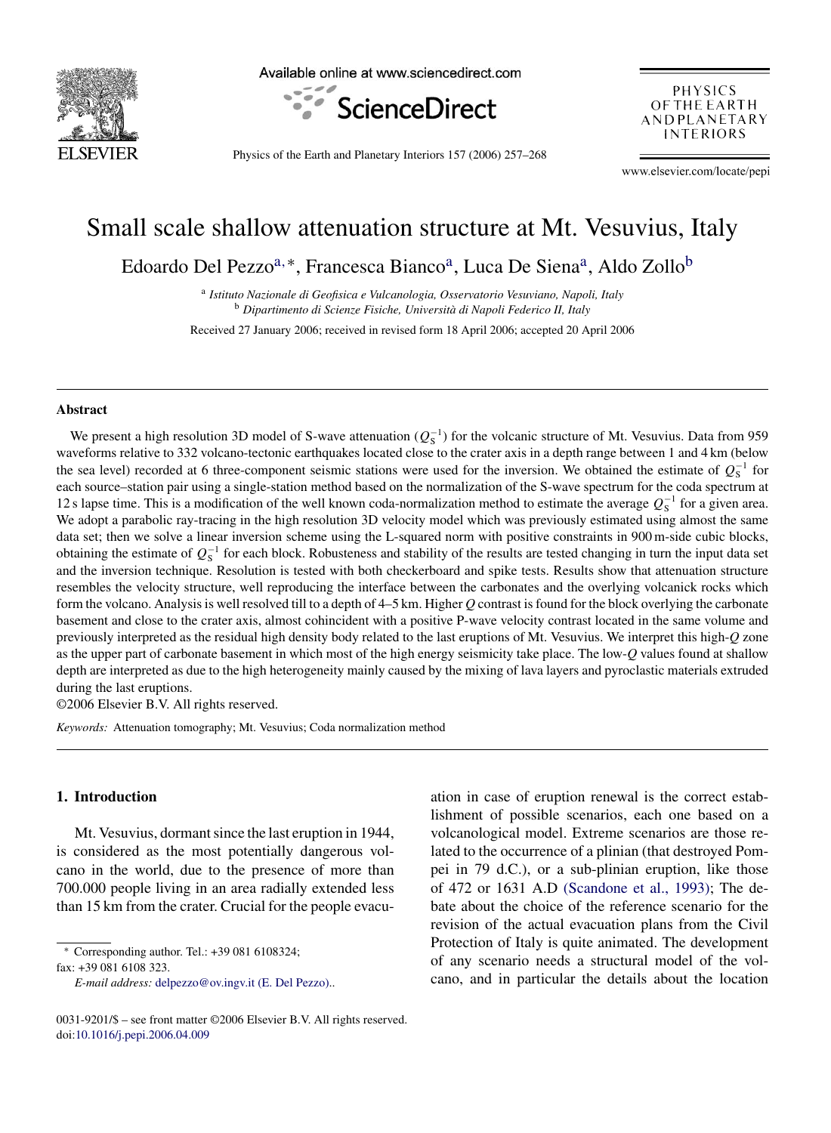

Available online at www.sciencedirect.com



PHYSICS OF THE EARTH ANDPLANETARY **INTERIORS** 

Physics of the Earth and Planetary Interiors 157 (2006) 257–268

www.elsevier.com/locate/pepi

# Small scale shallow attenuation structure at Mt. Vesuvius, Italy

Edoardo Del Pezzo<sup>a,∗</sup>, Francesca Bianco<sup>a</sup>, Luca De Siena<sup>a</sup>, Aldo Zollo<sup>b</sup>

<sup>a</sup> *Istituto Nazionale di Geofisica e Vulcanologia, Osservatorio Vesuviano, Napoli, Italy* <sup>b</sup> Dipartimento di Scienze Fisiche, Università di Napoli Federico II, Italy

Received 27 January 2006; received in revised form 18 April 2006; accepted 20 April 2006

#### **Abstract**

We present a high resolution 3D model of S-wave attenuation  $(Q_S^{-1})$  for the volcanic structure of Mt. Vesuvius. Data from 959<br>We forms relative to 332 volcano-tectonic earthquakes located close to the crater axis in a den waveforms relative to 332 volcano-tectonic earthquakes located close to the crater axis in a depth range between 1 and 4 km (below the sea level) recorded at 6 three-component seismic stations were used for the inversion. We obtained the estimate of  $Q_5^{-1}$  for each source–station pair using a single-station method based on the normalization of the S-wave spectrum for the coda spectrum at 12 s lapse time. This is a modification of the well known coda-normalization method to estimate the average  $Q_5^{-1}$  for a given area.<br>We adopt a parabolic ray-tracing in the high resolution 3D velocity model which was p We adopt a parabolic ray-tracing in the high resolution 3D velocity model which was previously estimated using almost the same data set; then we solve a linear inversion scheme using the L-squared norm with positive constraints in 900 m-side cubic blocks, obtaining the estimate of  $Q_S^{-1}$  for each block. Robusteness and stability of the results are tested changing in turn the input data set<br>and the inversion technique. Besolution is tested with both checkerboard and spike and the inversion technique. Resolution is tested with both checkerboard and spike tests. Results show that attenuation structure resembles the velocity structure, well reproducing the interface between the carbonates and the overlying volcanick rocks which form the volcano. Analysis is well resolved till to a depth of 4–5 km. Higher *Q* contrast is found for the block overlying the carbonate basement and close to the crater axis, almost cohincident with a positive P-wave velocity contrast located in the same volume and previously interpreted as the residual high density body related to the last eruptions of Mt. Vesuvius. We interpret this high-*Q* zone as the upper part of carbonate basement in which most of the high energy seismicity take place. The low-*Q* values found at shallow depth are interpreted as due to the high heterogeneity mainly caused by the mixing of lava layers and pyroclastic materials extruded during the last eruptions.

©2006 Elsevier B.V. All rights reserved.

*Keywords:* Attenuation tomography; Mt. Vesuvius; Coda normalization method

#### **1. Introduction**

Mt. Vesuvius, dormant since the last eruption in 1944, is considered as the most potentially dangerous volcano in the world, due to the presence of more than 700.000 people living in an area radially extended less than 15 km from the crater. Crucial for the people evacu-

∗ Corresponding author. Tel.: +39 081 6108324;

fax: +39 081 6108 323.

ation in case of eruption renewal is the correct establishment of possible scenarios, each one based on a volcanological model. Extreme scenarios are those related to the occurrence of a plinian (that destroyed Pompei in 79 d.C.), or a sub-plinian eruption, like those of 472 or 1631 A.D [\(Scandone et al., 1993\);](#page-11-0) The debate about the choice of the reference scenario for the revision of the actual evacuation plans from the Civil Protection of Italy is quite animated. The development of any scenario needs a structural model of the volcano, and in particular the details about the location

*E-mail address:* [delpezzo@ov.ingv.it \(E. Del Pezzo\).](mailto:delpezzo@ov.ingv.it (E. Del Pezzo)).

<sup>0031-9201/\$ –</sup> see front matter ©2006 Elsevier B.V. All rights reserved. doi[:10.1016/j.pepi.2006.04.009](dx.doi.org/10.1016/j.pepi.2006.04.009)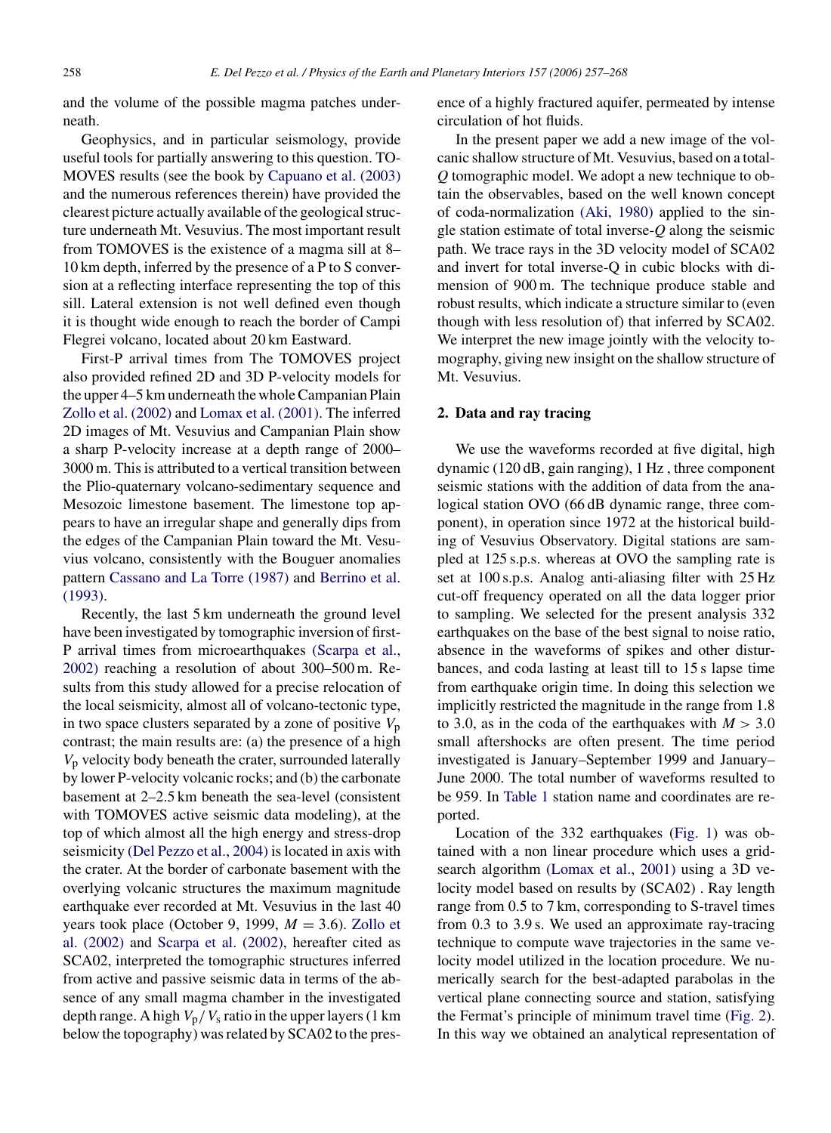and the volume of the possible magma patches underneath.

Geophysics, and in particular seismology, provide useful tools for partially answering to this question. TO-MOVES results (see the book by [Capuano et al. \(2003\)](#page-11-0) and the numerous references therein) have provided the clearest picture actually available of the geological structure underneath Mt. Vesuvius. The most important result from TOMOVES is the existence of a magma sill at 8– 10 km depth, inferred by the presence of a P to S conversion at a reflecting interface representing the top of this sill. Lateral extension is not well defined even though it is thought wide enough to reach the border of Campi Flegrei volcano, located about 20 km Eastward.

First-P arrival times from The TOMOVES project also provided refined 2D and 3D P-velocity models for the upper 4–5 km underneath the whole Campanian Plain [Zollo et al. \(2002\)](#page-11-0) and [Lomax et al. \(2001\). T](#page-11-0)he inferred 2D images of Mt. Vesuvius and Campanian Plain show a sharp P-velocity increase at a depth range of 2000– 3000 m. This is attributed to a vertical transition between the Plio-quaternary volcano-sedimentary sequence and Mesozoic limestone basement. The limestone top appears to have an irregular shape and generally dips from the edges of the Campanian Plain toward the Mt. Vesuvius volcano, consistently with the Bouguer anomalies pattern [Cassano and La Torre \(1987\)](#page-11-0) and [Berrino et al.](#page-11-0) [\(1993\).](#page-11-0)

Recently, the last 5 km underneath the ground level have been investigated by tomographic inversion of first-P arrival times from microearthquakes [\(Scarpa et al.,](#page-11-0) [2002\)](#page-11-0) reaching a resolution of about 300–500 m. Results from this study allowed for a precise relocation of the local seismicity, almost all of volcano-tectonic type, in two space clusters separated by a zone of positive  $V_p$ contrast; the main results are: (a) the presence of a high *<sup>V</sup>*<sup>p</sup> velocity body beneath the crater, surrounded laterally by lower P-velocity volcanic rocks; and (b) the carbonate basement at 2–2.5 km beneath the sea-level (consistent with TOMOVES active seismic data modeling), at the top of which almost all the high energy and stress-drop seismicity [\(Del Pezzo et al., 2004\)](#page-11-0) is located in axis with the crater. At the border of carbonate basement with the overlying volcanic structures the maximum magnitude earthquake ever recorded at Mt. Vesuvius in the last 40 years took place (October 9, 1999, *M* <sup>=</sup> <sup>3</sup>*.*6). [Zollo et](#page-11-0) al. [\(2002\)](#page-11-0) and [Scarpa et al. \(2002\),](#page-11-0) hereafter cited as SCA02, interpreted the tomographic structures inferred from active and passive seismic data in terms of the absence of any small magma chamber in the investigated depth range. A high  $V_p/V_s$  ratio in the upper layers (1 km below the topography) was related by SCA02 to the presence of a highly fractured aquifer, permeated by intense circulation of hot fluids.

In the present paper we add a new image of the volcanic shallow structure of Mt. Vesuvius, based on a total-*Q* tomographic model. We adopt a new technique to obtain the observables, based on the well known concept of coda-normalization [\(Aki, 1980\)](#page-11-0) applied to the single station estimate of total inverse-*Q* along the seismic path. We trace rays in the 3D velocity model of SCA02 and invert for total inverse-Q in cubic blocks with dimension of 900 m. The technique produce stable and robust results, which indicate a structure similar to (even though with less resolution of) that inferred by SCA02. We interpret the new image jointly with the velocity tomography, giving new insight on the shallow structure of Mt. Vesuvius.

## **2. Data and ray tracing**

We use the waveforms recorded at five digital, high dynamic (120 dB, gain ranging), 1 Hz , three component seismic stations with the addition of data from the analogical station OVO (66 dB dynamic range, three component), in operation since 1972 at the historical building of Vesuvius Observatory. Digital stations are sampled at 125 s.p.s. whereas at OVO the sampling rate is set at 100 s.p.s. Analog anti-aliasing filter with 25 Hz cut-off frequency operated on all the data logger prior to sampling. We selected for the present analysis 332 earthquakes on the base of the best signal to noise ratio, absence in the waveforms of spikes and other disturbances, and coda lasting at least till to 15 s lapse time from earthquake origin time. In doing this selection we implicitly restricted the magnitude in the range from 1.8 to 3.0, as in the coda of the earthquakes with  $M > 3.0$ small aftershocks are often present. The time period investigated is January–September 1999 and January– June 2000. The total number of waveforms resulted to be 959. In [Table 1](#page-2-0) station name and coordinates are reported.

Location of the 332 earthquakes ([Fig. 1\)](#page-2-0) was obtained with a non linear procedure which uses a gridsearch algorithm [\(Lomax et al., 2001\)](#page-11-0) using a 3D velocity model based on results by (SCA02) . Ray length range from 0.5 to 7 km, corresponding to S-travel times from 0.3 to 3.9 s. We used an approximate ray-tracing technique to compute wave trajectories in the same velocity model utilized in the location procedure. We numerically search for the best-adapted parabolas in the vertical plane connecting source and station, satisfying the Fermat's principle of minimum travel time [\(Fig. 2\).](#page-3-0) In this way we obtained an analytical representation of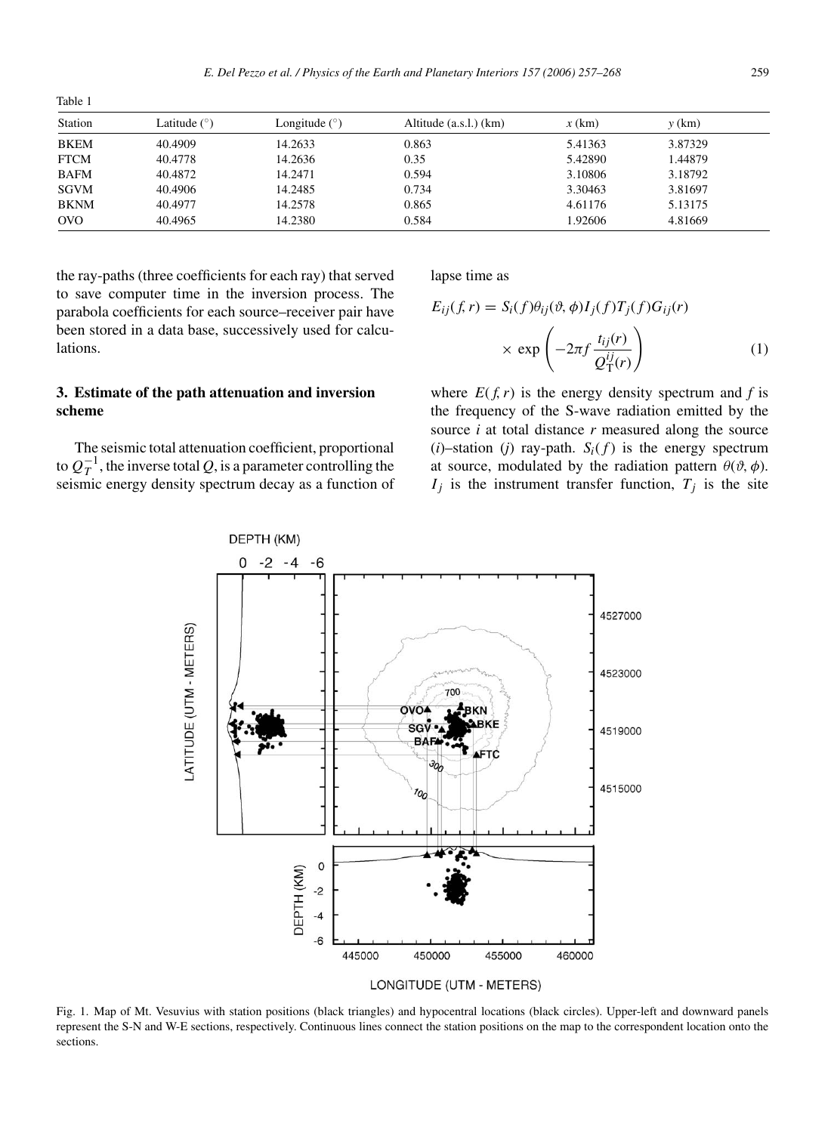<span id="page-2-0"></span>Table 1

| Station     | Latitude $(°)$ | Longitude $(°)$ | Altitude (a.s.l.) (km) | $x$ (km) | $y$ (km) |  |
|-------------|----------------|-----------------|------------------------|----------|----------|--|
| <b>BKEM</b> | 40.4909        | 14.2633         | 0.863                  | 5.41363  | 3.87329  |  |
| <b>FTCM</b> | 40.4778        | 14.2636         | 0.35                   | 5.42890  | 1.44879  |  |
| <b>BAFM</b> | 40.4872        | 14.2471         | 0.594                  | 3.10806  | 3.18792  |  |
| <b>SGVM</b> | 40.4906        | 14.2485         | 0.734                  | 3.30463  | 3.81697  |  |
| <b>BKNM</b> | 40.4977        | 14.2578         | 0.865                  | 4.61176  | 5.13175  |  |
| <b>OVO</b>  | 40.4965        | 14.2380         | 0.584                  | 1.92606  | 4.81669  |  |

the ray-paths (three coefficients for each ray) that served to save computer time in the inversion process. The parabola coefficients for each source–receiver pair have been stored in a data base, successively used for calculations.

# **3. Estimate of the path attenuation and inversion scheme**

The seismic total attenuation coefficient, proportional to  $Q_T^{-1}$ , the inverse total  $Q$ , is a parameter controlling the seismic energy density spectrum decay as a function of seismic energy density spectrum decay as a function of lapse time as

$$
E_{ij}(f,r) = S_i(f)\theta_{ij}(\vartheta,\phi)I_j(f)T_j(f)G_{ij}(r)
$$

$$
\times \exp\left(-2\pi f \frac{t_{ij}(r)}{Q_T^{ij}(r)}\right) \tag{1}
$$

where  $E(f, r)$  is the energy density spectrum and *f* is the frequency of the S-wave radiation emitted by the source *i* at total distance *r* measured along the source  $(i)$ –station  $(i)$  ray-path.  $S_i(f)$  is the energy spectrum at source, modulated by the radiation pattern  $\theta$ ( $\vartheta$ , $\varphi$ ).  $I_j$  is the instrument transfer function,  $T_j$  is the site



Fig. 1. Map of Mt. Vesuvius with station positions (black triangles) and hypocentral locations (black circles). Upper-left and downward panels represent the S-N and W-E sections, respectively. Continuous lines connect the station positions on the map to the correspondent location onto the sections.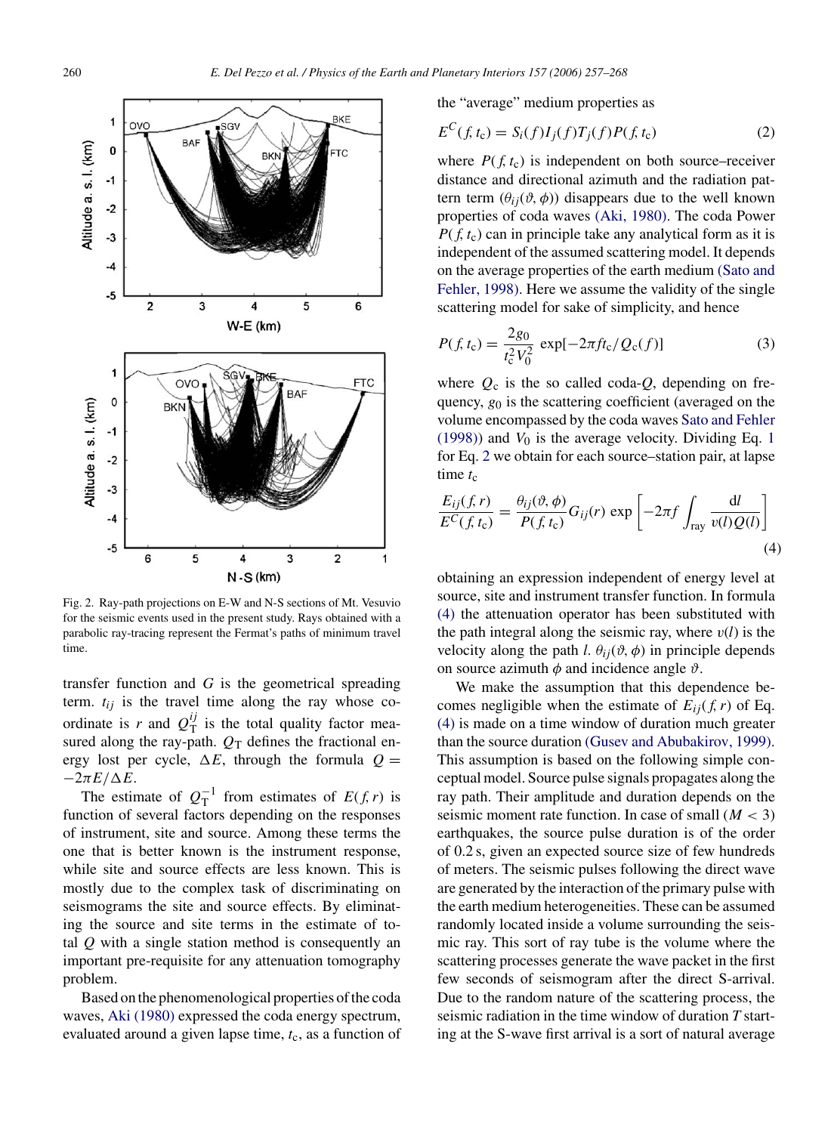<span id="page-3-0"></span>

Fig. 2. Ray-path projections on E-W and N-S sections of Mt. Vesuvio for the seismic events used in the present study. Rays obtained with a parabolic ray-tracing represent the Fermat's paths of minimum travel time.

transfer function and *G* is the geometrical spreading term.  $t_{ij}$  is the travel time along the ray whose coordinate is *r* and  $Q_T^U$  is the total quality factor mea-<br>sured along the ray-path  $Q_T$  defines the fractional ensured along the ray-path.  $Q_T$  defines the fractional energy lost per cycle,  $\Delta E$ , through the formula  $Q =$  $-2\pi E/\Delta E$ .

The estimate of  $Q_T^{-1}$  from estimates of  $E(f, r)$  is<br>total factors depending on the responses function of several factors depending on the responses of instrument, site and source. Among these terms the one that is better known is the instrument response, while site and source effects are less known. This is mostly due to the complex task of discriminating on seismograms the site and source effects. By eliminating the source and site terms in the estimate of total *Q* with a single station method is consequently an important pre-requisite for any attenuation tomography problem.

Based on the phenomenological properties of the coda waves, [Aki \(1980\)](#page-11-0) expressed the coda energy spectrum, evaluated around a given lapse time,  $t_c$ , as a function of the "average" medium properties as

$$
E^{C}(f, t_{c}) = S_{i}(f)I_{j}(f)T_{j}(f)P(f, t_{c})
$$
\n(2)

where  $P(f, t_c)$  is independent on both source–receiver distance and directional azimuth and the radiation pattern term  $(\theta_{ii}(\vartheta, \varphi))$  disappears due to the well known properties of coda waves [\(Aki, 1980\).](#page-11-0) The coda Power  $P(f, t_c)$  can in principle take any analytical form as it is independent of the assumed scattering model. It depends on the average properties of the earth medium [\(Sato and](#page-11-0) Fehler[, 1998\). H](#page-11-0)ere we assume the validity of the single scattering model for sake of simplicity, and hence

$$
P(f, t_{c}) = \frac{2g_{0}}{t_{c}^{2}V_{0}^{2}} \exp[-2\pi ft_{c}/Q_{c}(f)]
$$
 (3)

where  $Q_c$  is the so called coda- $Q$ , depending on frequency,  $g_0$  is the scattering coefficient (averaged on the volume encompassed by the coda waves [Sato and Fehler](#page-11-0) [\(1998\)\)](#page-11-0) and  $V_0$  is the average velocity. Dividing Eq. [1](#page-2-0) for Eq. 2 we obtain for each source–station pair, at lapse time  $t_c$ 

$$
\frac{E_{ij}(f,r)}{E^C(f,t_c)} = \frac{\theta_{ij}(\vartheta,\phi)}{P(f,t_c)} G_{ij}(r) \exp\left[-2\pi f \int_{\text{ray}} \frac{dl}{v(l)Q(l)}\right]
$$
\n(4)

obtaining an expression independent of energy level at source, site and instrument transfer function. In formula (4) the attenuation operator has been substituted with the path integral along the seismic ray, where  $v(l)$  is the velocity along the path *l*.  $\theta_{ij}(\vartheta, \varphi)$  in principle depends on source azimuth  $\phi$  and incidence angle  $\vartheta$ .

We make the assumption that this dependence becomes negligible when the estimate of  $E_{ii}(f, r)$  of Eq. (4) is made on a time window of duration much greater than the source duration [\(Gusev and Abubakirov, 1999\).](#page-11-0) This assumption is based on the following simple conceptual model. Source pulse signals propagates along the ray path. Their amplitude and duration depends on the seismic moment rate function. In case of small (*M <* 3) earthquakes, the source pulse duration is of the order of 0.2 s, given an expected source size of few hundreds of meters. The seismic pulses following the direct wave are generated by the interaction of the primary pulse with the earth medium heterogeneities. These can be assumed randomly located inside a volume surrounding the seismic ray. This sort of ray tube is the volume where the scattering processes generate the wave packet in the first few seconds of seismogram after the direct S-arrival. Due to the random nature of the scattering process, the seismic radiation in the time window of duration *T* starting at the S-wave first arrival is a sort of natural average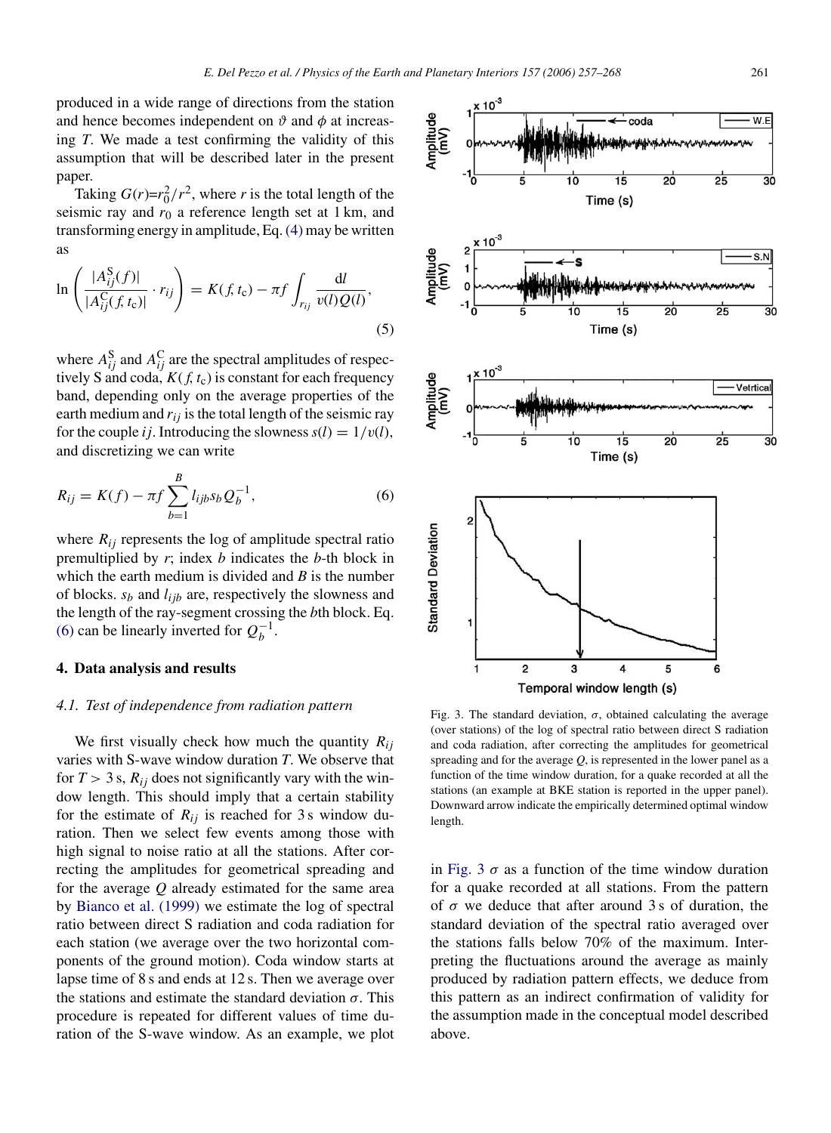<span id="page-4-0"></span>produced in a wide range of directions from the station and hence becomes independent on  $\vartheta$  and  $\varphi$  at increasing *T*. We made a test confirming the validity of this assumption that will be described later in the present paper.

Taking  $G(r)=r_0^2/r^2$ , where *r* is the total length of the smic ray and  $r_0$  a reference length set at 1 km and seismic ray and  $r_0$  a reference length set at 1 km, and transforming energy in amplitude, Eq.[\(4\)](#page-3-0) may be written as

$$
\ln\left(\frac{|A_{ij}^{S}(f)|}{|A_{ij}^{C}(f,t_{c})|}\cdot r_{ij}\right) = K(f,t_{c}) - \pi f \int_{r_{ij}} \frac{dl}{v(l)Q(l)},
$$
\n(5)

where  $A_{ij}^S$  and  $A_{ij}^C$  are the spectral amplitudes of respectively S and coda  $K(f, t_0)$  is constant for each frequency tively S and coda,  $K(f, t_c)$  is constant for each frequency band, depending only on the average properties of the earth medium and  $r_{ij}$  is the total length of the seismic ray for the couple *i j*. Introducing the slowness  $s(l) = 1/v(l)$ , and discretizing we can write

$$
R_{ij} = K(f) - \pi f \sum_{b=1}^{B} l_{ijb} s_b Q_b^{-1},
$$
 (6)

where  $R_{ij}$  represents the log of amplitude spectral ratio premultiplied by *r*; index *b* indicates the *b*-th block in which the earth medium is divided and *B* is the number of blocks. *sb* and *lijb* are, respectively the slowness and the length of the ray-segment crossing the *b*th block. Eq. (6) can be linearly inverted for  $Q_b^{-1}$ .

## **4. Data analysis and results**

#### *4.1. Test of independence from radiation pattern*

We first visually check how much the quantity *Rij* varies with S-wave window duration *T*. We observe that for  $T > 3$  s,  $R_{ij}$  does not significantly vary with the window length. This should imply that a certain stability for the estimate of  $R_{ij}$  is reached for 3 s window duration. Then we select few events among those with high signal to noise ratio at all the stations. After correcting the amplitudes for geometrical spreading and for the average *Q* already estimated for the same area by [Bianco et al. \(1999\)](#page-11-0) we estimate the log of spectral ratio between direct S radiation and coda radiation for each station (we average over the two horizontal components of the ground motion). Coda window starts at lapse time of 8 s and ends at 12 s. Then we average over the stations and estimate the standard deviation  $\sigma$ . This procedure is repeated for different values of time duration of the S-wave window. As an example, we plot



Fig. 3. The standard deviation,  $\sigma$ , obtained calculating the average (over stations) of the log of spectral ratio between direct S radiation and coda radiation, after correcting the amplitudes for geometrical spreading and for the average *Q*, is represented in the lower panel as a function of the time window duration, for a quake recorded at all the stations (an example at BKE station is reported in the upper panel). Downward arrow indicate the empirically determined optimal window length.

in Fig. 3  $\sigma$  as a function of the time window duration for a quake recorded at all stations. From the pattern of  $\sigma$  we deduce that after around 3s of duration, the standard deviation of the spectral ratio averaged over the stations falls below 70% of the maximum. Interpreting the fluctuations around the average as mainly produced by radiation pattern effects, we deduce from this pattern as an indirect confirmation of validity for the assumption made in the conceptual model described above.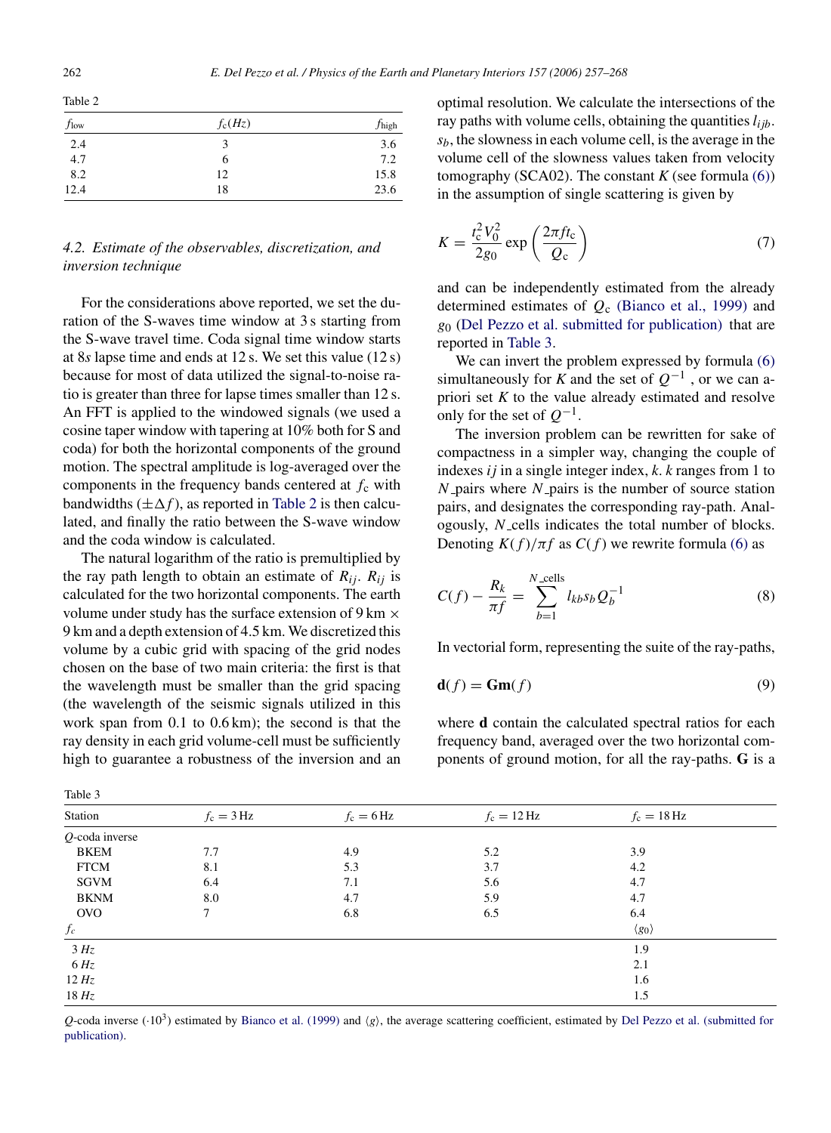<span id="page-5-0"></span>Table 2

| $f_{\text{low}}$ | $f_c(Hz)$ | $f_{\text{high}}$ |
|------------------|-----------|-------------------|
| 2.4              | ٩         | 3.6               |
| 4.7              | 6         | 7.2               |
| 8.2              | 12        | 15.8              |
| 12.4             | 18        | 23.6              |

# *4.2. Estimate of the observables, discretization, and inversion technique*

For the considerations above reported, we set the duration of the S-waves time window at 3 s starting from the S-wave travel time. Coda signal time window starts at 8*s* lapse time and ends at 12 s. We set this value (12 s) because for most of data utilized the signal-to-noise ratio is greater than three for lapse times smaller than 12 s. An FFT is applied to the windowed signals (we used a cosine taper window with tapering at 10% both for S and coda) for both the horizontal components of the ground motion. The spectral amplitude is log-averaged over the components in the frequency bands centered at  $f_c$  with bandwidths  $(\pm \Delta f)$ , as reported in Table 2 is then calculated, and finally the ratio between the S-wave window and the coda window is calculated.

The natural logarithm of the ratio is premultiplied by the ray path length to obtain an estimate of  $R_{ij}$ .  $R_{ij}$  is calculated for the two horizontal components. The earth volume under study has the surface extension of  $9 \text{ km } \times$ 9 km and a depth extension of 4.5 km. We discretized this volume by a cubic grid with spacing of the grid nodes chosen on the base of two main criteria: the first is that the wavelength must be smaller than the grid spacing (the wavelength of the seismic signals utilized in this work span from 0.1 to 0.6 km); the second is that the ray density in each grid volume-cell must be sufficiently high to guarantee a robustness of the inversion and an

optimal resolution. We calculate the intersections of the ray paths with volume cells, obtaining the quantities  $l_{ijb}$ . *sb*, the slowness in each volume cell, is the average in the volume cell of the slowness values taken from velocity tomography (SCA02). The constant  $K$  (see formula [\(6\)\)](#page-4-0) in the assumption of single scattering is given by

$$
K = \frac{t_{\rm c}^2 V_0^2}{2g_0} \exp\left(\frac{2\pi f t_{\rm c}}{Q_{\rm c}}\right) \tag{7}
$$

and can be independently estimated from the already determined estimates of *<sup>Q</sup>*<sup>c</sup> [\(Bianco et al., 1999\)](#page-11-0) and *<sup>g</sup>*<sup>0</sup> ([Del Pezzo et al. submitted for publication\)](#page-11-0) that are reported in Table 3.

We can invert the problem expressed by formula  $(6)$ simultaneously for *K* and the set of  $Q^{-1}$ , or we can apriori set *K* to the value already estimated and resolve only for the set of  $Q^{-1}$ .

The inversion problem can be rewritten for sake of compactness in a simpler way, changing the couple of indexes *ij* in a single integer index, *<sup>k</sup>*. *<sup>k</sup>* ranges from 1 to *N* pairs where *N* pairs is the number of source station pairs, and designates the corresponding ray-path. Analogously, *N* cells indicates the total number of blocks. Denoting  $K(f)/\pi f$  as  $C(f)$  we rewrite formula [\(6\)](#page-4-0) as

$$
C(f) - \frac{R_k}{\pi f} = \sum_{b=1}^{N_{\text{rcells}}} l_{kb} s_b Q_b^{-1}
$$
 (8)

In vectorial form, representing the suite of the ray-paths,

$$
\mathbf{d}(f) = \mathbf{Gm}(f) \tag{9}
$$

where **d** contain the calculated spectral ratios for each frequency band, averaged over the two horizontal components of ground motion, for all the ray-paths. **G** is a

| $\cdots \cdots$   |              |                      |                       |                       |  |
|-------------------|--------------|----------------------|-----------------------|-----------------------|--|
| Station           | $f_c = 3 Hz$ | $f_c = 6 \text{ Hz}$ | $f_c = 12 \text{ Hz}$ | $f_c = 18$ Hz         |  |
| $Q$ -coda inverse |              |                      |                       |                       |  |
| <b>BKEM</b>       | 7.7          | 4.9                  | 5.2                   | 3.9                   |  |
| <b>FTCM</b>       | 8.1          | 5.3                  | 3.7                   | 4.2                   |  |
| SGVM              | 6.4          | 7.1                  | 5.6                   | 4.7                   |  |
| <b>BKNM</b>       | 8.0          | 4.7                  | 5.9                   | 4.7                   |  |
| <b>OVO</b>        | $\tau$       | 6.8                  | 6.5                   | 6.4                   |  |
| $f_c$             |              |                      |                       | $\langle g_0 \rangle$ |  |
| 3 Hz              |              |                      |                       | 1.9                   |  |
| $6\,Hz$           |              |                      |                       | 2.1                   |  |
| 12 Hz             |              |                      |                       | 1.6                   |  |
| 18 Hz             |              |                      |                       | 1.5                   |  |
|                   |              |                      |                       |                       |  |

 $Q$ -cod[a](#page-11-0) inverse ( $\cdot$ 10<sup>3</sup>) estimated by [Bianco et al. \(1999\)](#page-11-0) and *g*), the average scattering coefficient, estimated by [Del Pezzo et al. \(submitted for](#page-11-0) publication).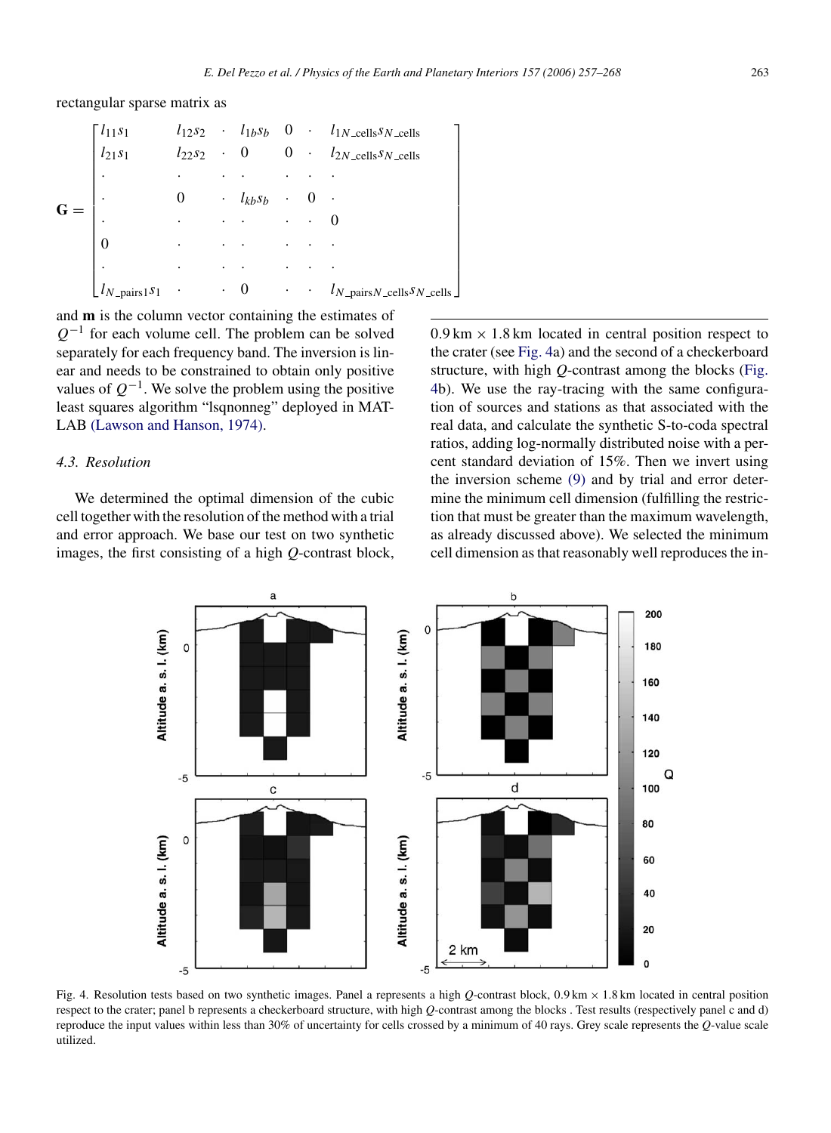<span id="page-6-0"></span>rectangular sparse matrix as

|   | $\lceil l_{11} s_1 \rceil$                           |                      |           |                     |           | $l_{12}s_2$ · $l_{1b}s_b$ 0 · $l_{1N\_cells}s_{N\_cells}$             |
|---|------------------------------------------------------|----------------------|-----------|---------------------|-----------|-----------------------------------------------------------------------|
|   | $l_{21}s_1$                                          | $l_{22}s_2$          |           | $\cdot$ 0           |           | $0 \cdot l_{2N \text{ } cells} s_{N \text{ } cells}$                  |
|   | $\bullet$                                            | ٠                    |           |                     |           |                                                                       |
| G |                                                      | 0                    |           | $\cdot$ $l_{kb}s_b$ | ٠         |                                                                       |
|   |                                                      | $\ddot{\phantom{0}}$ |           |                     | $\bullet$ |                                                                       |
|   | $\Omega$                                             | ٠                    |           |                     | ٠         |                                                                       |
|   | ٠                                                    | ٠                    |           |                     |           |                                                                       |
|   | $\lfloor l_{N \text{-pairs}} \rfloor$ s <sub>1</sub> | $\bullet$            | $\bullet$ | $\theta$            | $\bullet$ | $\cdot$ $l_{N_{\text{–pairs}}N_{\text{–cells}}S_{N_{\text{–cells}}}}$ |
|   |                                                      |                      |           |                     |           |                                                                       |

and **m** is the column vector containing the estimates of *Q*<sup>−1</sup> for each volume cell. The problem can be solved separately for each frequency band. The inversion is linear and needs to be constrained to obtain only positive values of  $Q^{-1}$ . We solve the problem using the positive least squares algorithm "lsqnonneg" deployed in MAT-LAB [\(Lawson and Hanson, 1974\).](#page-11-0)

## *4.3. Resolution*

We determined the optimal dimension of the cubic cell together with the resolution of the method with a trial and error approach. We base our test on two synthetic images, the first consisting of a high *Q*-contrast block,  $0.9 \text{ km} \times 1.8 \text{ km}$  located in central position respect to the crater (see Fig. 4a) and the second of a checkerboard structure, with high *Q*-contrast among the blocks (Fig. 4b). We use the ray-tracing with the same configuration of sources and stations as that associated with the real data, and calculate the synthetic S-to-coda spectral ratios, adding log-normally distributed noise with a percent standard deviation of 15%. Then we invert using the inversion scheme [\(9\)](#page-5-0) and by trial and error determine the minimum cell dimension (fulfilling the restriction that must be greater than the maximum wavelength, as already discussed above). We selected the minimum cell dimension as that reasonably well reproduces the in-



Fig. 4. Resolution tests based on two synthetic images. Panel a represents a high *<sup>Q</sup>*-contrast block, 0*.*9 km <sup>×</sup> <sup>1</sup>*.*8 km located in central position respect to the crater; panel b represents a checkerboard structure, with high *Q*-contrast among the blocks . Test results (respectively panel c and d) reproduce the input values within less than 30% of uncertainty for cells crossed by a minimum of 40 rays. Grey scale represents the *Q*-value scale utilized.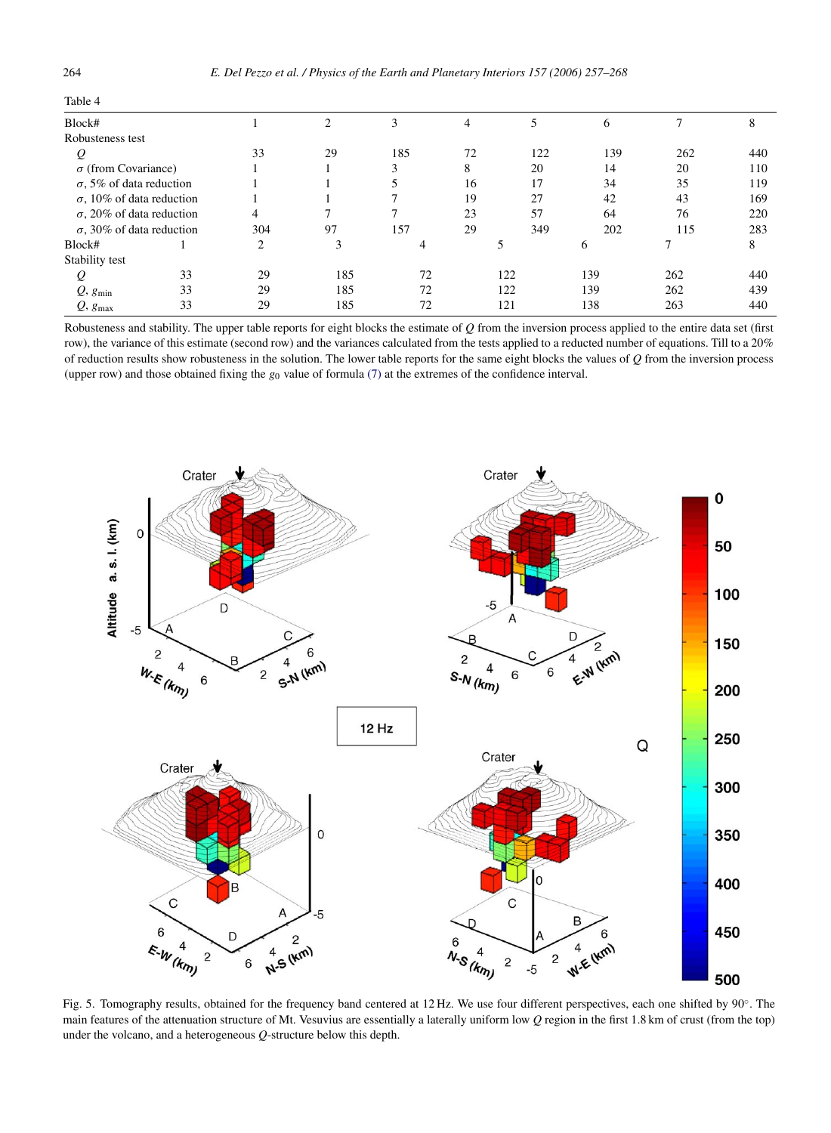<span id="page-7-0"></span>

| Table 4                          |     |    |     |    |     |     |     |              |
|----------------------------------|-----|----|-----|----|-----|-----|-----|--------------|
| Block#                           |     | ◠  |     |    |     |     |     |              |
| Robusteness test                 |     |    |     |    |     |     |     |              |
| Q                                | 33  | 29 | 185 | 72 | 122 | 139 | 262 | 440          |
| $\sigma$ (from Covariance)       |     |    |     |    | 20  | 14  | 20  | 110          |
| $\sigma$ , 5% of data reduction  |     |    |     | 16 | 17  | 34  | 35  | 119          |
| $\sigma$ , 10% of data reduction |     |    |     | 19 | 27  | 42  | 43  | 169          |
| $\sigma$ , 20% of data reduction |     |    |     | 23 | 57  | 64  | 76  | 220          |
| $\sigma$ , 30% of data reduction | 304 | 97 | 157 | 29 | 349 | 202 | 15  | 283          |
| $Rl_{\alpha\alpha}l_{\alpha}$    |     |    |     |    |     | ь   |     | $\mathbf{Q}$ |

Stability test

*<sup>Q</sup>*, *<sup>g</sup>*max 33 29 185 72 121 138 263 440 Robusteness and stability. The upper table reports for eight blocks the estimate of *Q* from the inversion process applied to the entire data set (first row), the variance of this estimate (second row) and the variances calculated from the tests applied to a reducted number of equations. Till to a 20% of reduction results show robusteness in the solution. The lower table reports for the same eight blocks the values of *Q* from the inversion process (upper row) and those obtained fixing the *<sup>g</sup>*<sup>0</sup> value of formula [\(7\)](#page-5-0) at the extremes of the confidence interval.

Block# 1 2 3 4 5 6 7 8

*Q* 33 29 185 72 122 139 262 440 *<sup>Q</sup>*, *<sup>g</sup>*min 33 29 185 72 122 139 262 439



Fig. 5. Tomography results, obtained for the frequency band centered at 12 Hz. We use four different perspectives, each one shifted by 90◦. The main features of the attenuation structure of Mt. Vesuvius are essentially a laterally uniform low *Q* region in the first 1.8 km of crust (from the top) under the volcano, and a heterogeneous *Q*-structure below this depth.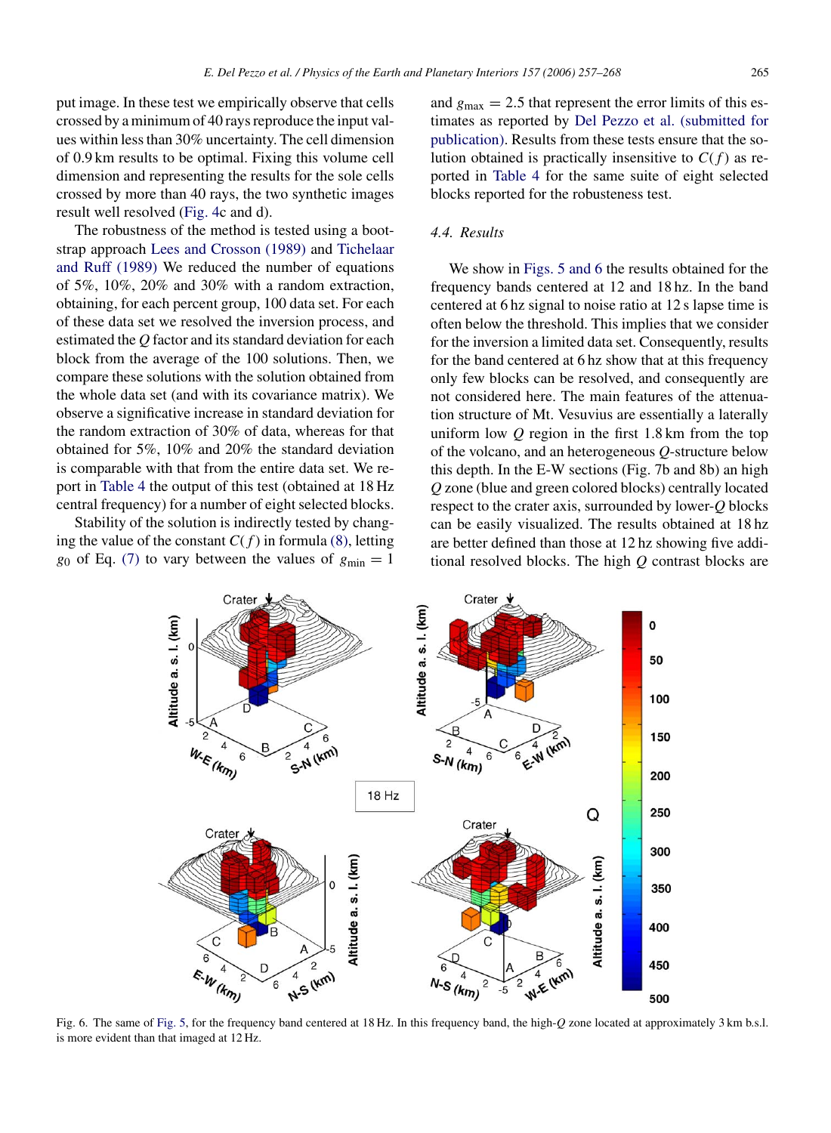put image. In these test we empirically observe that cells crossed by a minimum of 40 rays reproduce the input values within less than 30% uncertainty. The cell dimension of 0.9 km results to be optimal. Fixing this volume cell dimension and representing the results for the sole cells crossed by more than 40 rays, the two synthetic images result well resolved ([Fig. 4c](#page-6-0) and d).

The robustness of the method is tested using a bootstrap approach [Lees and Crosson \(1989\)](#page-11-0) and [Tichelaar](#page-11-0) and Ruff [\(1989\)](#page-11-0) We reduced the number of equations of 5%, 10%, 20% and 30% with a random extraction, obtaining, for each percent group, 100 data set. For each of these data set we resolved the inversion process, and estimated the *Q* factor and its standard deviation for each block from the average of the 100 solutions. Then, we compare these solutions with the solution obtained from the whole data set (and with its covariance matrix). We observe a significative increase in standard deviation for the random extraction of 30% of data, whereas for that obtained for 5%, 10% and 20% the standard deviation is comparable with that from the entire data set. We report in [Table 4](#page-7-0) the output of this test (obtained at 18 Hz central frequency) for a number of eight selected blocks.

Stability of the solution is indirectly tested by changing the value of the constant  $C(f)$  in formula [\(8\), l](#page-5-0)etting *g*<sub>0</sub> of Eq. [\(7\)](#page-5-0) to vary between the values of  $g_{min} = 1$ 

and  $g_{\text{max}} = 2.5$  that represent the error limits of this estimates as reported by [Del Pezzo et al. \(submitted for](#page-11-0) publication). Results from these tests ensure that the solution obtained is practically insensitive to  $C(f)$  as reported in [Table 4](#page-7-0) for the same suite of eight selected blocks reported for the robusteness test.

## *4.4. Results*

We show in [Figs. 5 and 6](#page-7-0) the results obtained for the frequency bands centered at 12 and 18 hz. In the band centered at 6 hz signal to noise ratio at 12 s lapse time is often below the threshold. This implies that we consider for the inversion a limited data set. Consequently, results for the band centered at 6 hz show that at this frequency only few blocks can be resolved, and consequently are not considered here. The main features of the attenuation structure of Mt. Vesuvius are essentially a laterally uniform low *Q* region in the first 1.8 km from the top of the volcano, and an heterogeneous *Q*-structure below this depth. In the E-W sections (Fig. 7b and 8b) an high *Q* zone (blue and green colored blocks) centrally located respect to the crater axis, surrounded by lower-*Q* blocks can be easily visualized. The results obtained at 18 hz are better defined than those at 12 hz showing five additional resolved blocks. The high *Q* contrast blocks are



Fig. 6. The same of [Fig. 5, f](#page-7-0)or the frequency band centered at 18 Hz. In this frequency band, the high-*Q* zone located at approximately 3 km b.s.l. is more evident than that imaged at 12 Hz.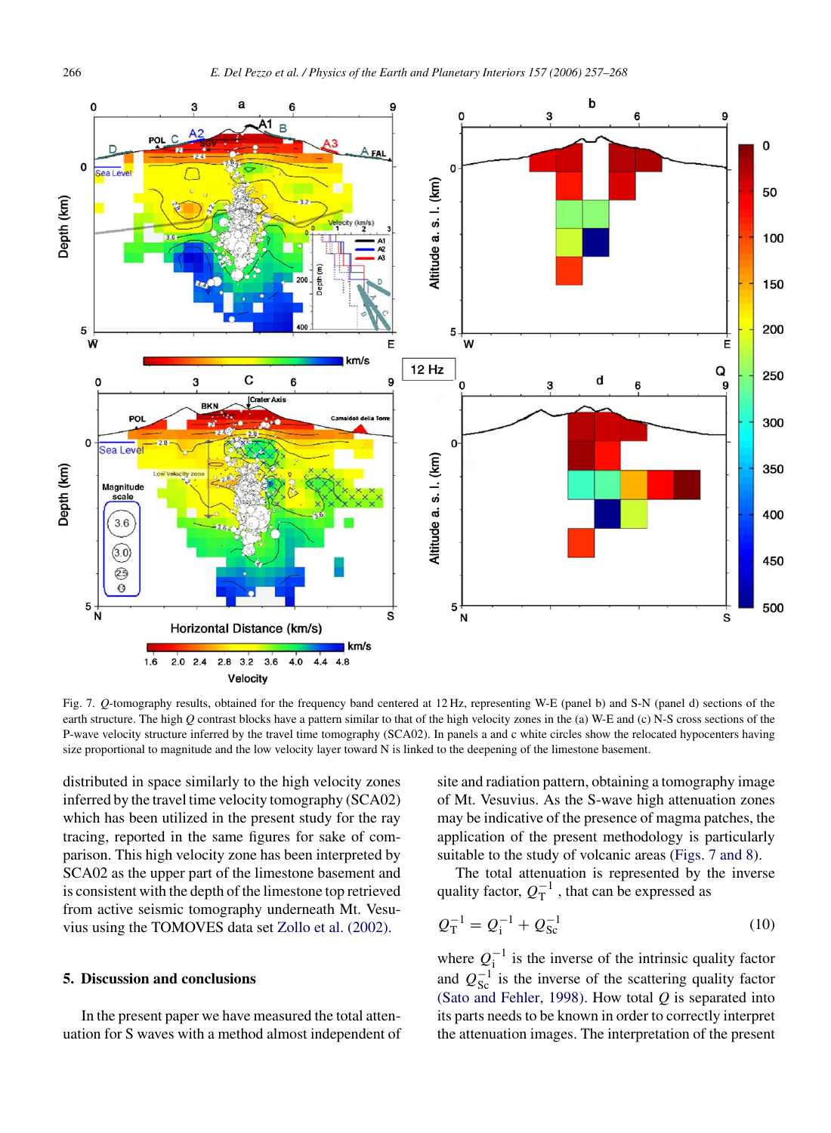<span id="page-9-0"></span>

Fig. 7. *Q*-tomography results, obtained for the frequency band centered at 12 Hz, representing W-E (panel b) and S-N (panel d) sections of the earth structure. The high *Q* contrast blocks have a pattern similar to that of the high velocity zones in the (a) W-E and (c) N-S cross sections of the P-wave velocity structure inferred by the travel time tomography (SCA02). In panels a and c white circles show the relocated hypocenters having size proportional to magnitude and the low velocity layer toward N is linked to the deepening of the limestone basement.

distributed in space similarly to the high velocity zones inferred by the travel time velocity tomography (SCA02) which has been utilized in the present study for the ray tracing, reported in the same figures for sake of comparison. This high velocity zone has been interpreted by SCA02 as the upper part of the limestone basement and is consistent with the depth of the limestone top retrieved from active seismic tomography underneath Mt. Vesuvius using the TOMOVES data set [Zollo et al. \(2002\).](#page-11-0)

## **5. Discussion and conclusions**

In the present paper we have measured the total attenuation for S waves with a method almost independent of site and radiation pattern, obtaining a tomography image of Mt. Vesuvius. As the S-wave high attenuation zones may be indicative of the presence of magma patches, the application of the present methodology is particularly suitable to the study of volcanic areas (Figs. 7 and 8).

The total attenuation is represented by the inverse quality factor,  $Q_T^{-1}$ , that can be expressed as

$$
Q_{\rm T}^{-1} = Q_{\rm i}^{-1} + Q_{\rm Sc}^{-1} \tag{10}
$$

where  $Q_1^{-1}$  is the inverse of the intrinsic quality factor<br>and  $Q_1^{-1}$  is the inverse of the sectoring quality factor and  $Q_{\text{SC}}^{-1}$  is the inverse of the scattering quality factor<br>(Sato and Febler, 1998). How total *O* is separated into [\(Sato and Fehler, 1998\).](#page-11-0) How total *Q* is separated into its parts needs to be known in order to correctly interpret the attenuation images. The interpretation of the present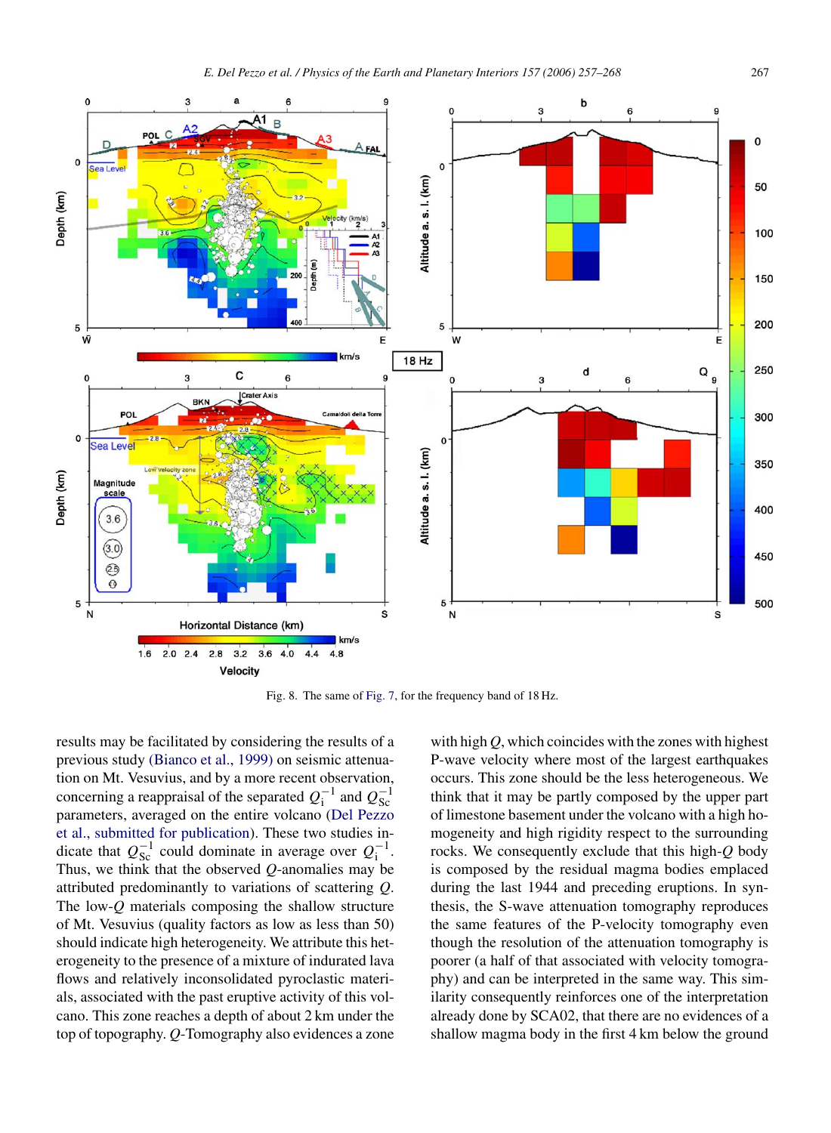

Fig. 8. The same of [Fig. 7, f](#page-9-0)or the frequency band of 18 Hz.

results may be facilitated by considering the results of a previous study [\(Bianco et al., 1999\)](#page-11-0) on seismic attenuation on Mt. Vesuvius, and by a more recent observation, concerning a reappraisal of the separated  $Q_1^{-1}$  and  $Q_{SC}^{-1}$ <br>parameters, averaged on the entire volcano (Del Pezzo parameters, averaged on the entire volcano (Del Pezzo et al., submitted for publication). These two studies indicate that  $Q_{\rm Sc}^{-1}$  could dominate in average over  $Q_{\rm i}^{-1}$ .<br>Thus we think that the observed *O*-anomalies may be Thus, we think that the observed *Q*-anomalies may be attributed predominantly to variations of scattering *Q*. The low-*Q* materials composing the shallow structure of Mt. Vesuvius (quality factors as low as less than 50) should indicate high heterogeneity. We attribute this heterogeneity to the presence of a mixture of indurated lava flows and relatively inconsolidated pyroclastic materials, associated with the past eruptive activity of this volcano. This zone reaches a depth of about 2 km under the top of topography. *Q*-Tomography also evidences a zone with high *Q*, which coincides with the zones with highest P-wave velocity where most of the largest earthquakes occurs. This zone should be the less heterogeneous. We think that it may be partly composed by the upper part [of limestone basement unde](#page-11-0)r the volcano with a high homogeneity and high rigidity respect to the surrounding rocks. We consequently exclude that this high-*Q* body is composed by the residual magma bodies emplaced during the last 1944 and preceding eruptions. In synthesis, the S-wave attenuation tomography reproduces the same features of the P-velocity tomography even though the resolution of the attenuation tomography is poorer (a half of that associated with velocity tomography) and can be interpreted in the same way. This similarity consequently reinforces one of the interpretation already done by SCA02, that there are no evidences of a shallow magma body in the first 4 km below the ground